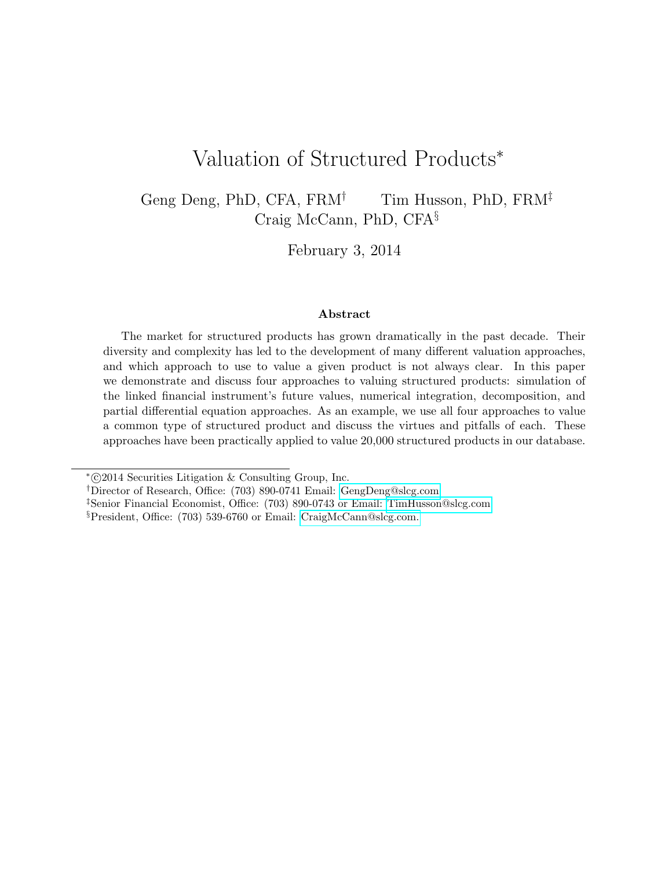# Valuation of Structured Products<sup>∗</sup>

<span id="page-0-0"></span>Geng Deng, PhD, CFA, FRM<sup>†</sup> Tim Husson, PhD, FRM<sup>‡</sup> Craig McCann, PhD, CFA§

February 3, 2014

#### Abstract

The market for structured products has grown dramatically in the past decade. Their diversity and complexity has led to the development of many different valuation approaches, and which approach to use to value a given product is not always clear. In this paper we demonstrate and discuss four approaches to valuing structured products: simulation of the linked financial instrument's future values, numerical integration, decomposition, and partial differential equation approaches. As an example, we use all four approaches to value a common type of structured product and discuss the virtues and pitfalls of each. These approaches have been practically applied to value 20,000 structured products in our database.

<sup>∗</sup> c 2014 Securities Litigation & Consulting Group, Inc.

<sup>†</sup>Director of Research, Office: (703) 890-0741 Email: [GengDeng@slcg.com](mailto:GengDeng@slcg.com)

<sup>‡</sup>Senior Financial Economist, Office: (703) 890-0743 or Email: [TimHusson@slcg.com](mailto:TimHusson@slcg.com)

<sup>§</sup>President, Office: (703) 539-6760 or Email: [CraigMcCann@slcg.com.](mailto:CraigMcCann@slcg.com)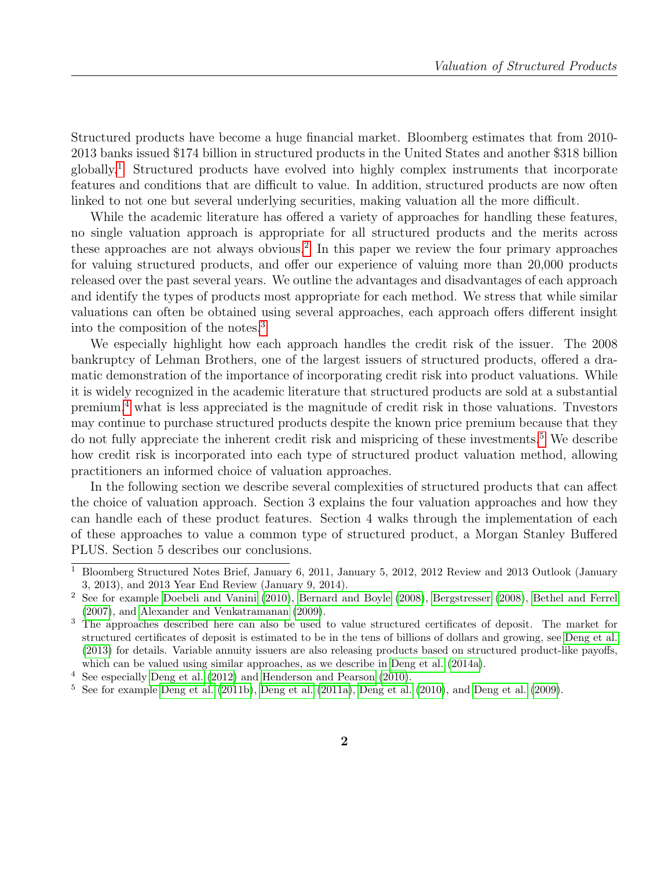Structured products have become a huge financial market. Bloomberg estimates that from 2010- 2013 banks issued \$174 billion in structured products in the United States and another \$318 billion globally.[1](#page-0-0) Structured products have evolved into highly complex instruments that incorporate features and conditions that are difficult to value. In addition, structured products are now often linked to not one but several underlying securities, making valuation all the more difficult.

While the academic literature has offered a variety of approaches for handling these features, no single valuation approach is appropriate for all structured products and the merits across these approaches are not always obvious.<sup>[2](#page-0-0)</sup> In this paper we review the four primary approaches for valuing structured products, and offer our experience of valuing more than 20,000 products released over the past several years. We outline the advantages and disadvantages of each approach and identify the types of products most appropriate for each method. We stress that while similar valuations can often be obtained using several approaches, each approach offers different insight into the composition of the notes.[3](#page-0-0)

We especially highlight how each approach handles the credit risk of the issuer. The 2008 bankruptcy of Lehman Brothers, one of the largest issuers of structured products, offered a dramatic demonstration of the importance of incorporating credit risk into product valuations. While it is widely recognized in the academic literature that structured products are sold at a substantial premium,[4](#page-0-0) what is less appreciated is the magnitude of credit risk in those valuations. Tnvestors may continue to purchase structured products despite the known price premium because that they do not fully appreciate the inherent credit risk and mispricing of these investments.<sup>[5](#page-0-0)</sup> We describe how credit risk is incorporated into each type of structured product valuation method, allowing practitioners an informed choice of valuation approaches.

In the following section we describe several complexities of structured products that can affect the choice of valuation approach. Section 3 explains the four valuation approaches and how they can handle each of these product features. Section 4 walks through the implementation of each of these approaches to value a common type of structured product, a Morgan Stanley Buffered PLUS. Section 5 describes our conclusions.

<sup>&</sup>lt;sup>1</sup> Bloomberg Structured Notes Brief, January 6, 2011, January 5, 2012, 2012 Review and 2013 Outlook (January 3, 2013), and 2013 Year End Review (January 9, 2014).

<sup>2</sup> See for example [Doebeli and Vanini](#page-22-0) [\(2010\)](#page-22-0), [Bernard and Boyle](#page-21-0) [\(2008\)](#page-21-0), [Bergstresser](#page-20-0) [\(2008\)](#page-20-0), [Bethel and Ferrel](#page-21-1) [\(2007\)](#page-21-1), and [Alexander and Venkatramanan](#page-20-1) [\(2009\)](#page-20-1).

<sup>&</sup>lt;sup>3</sup> The approaches described here can also be used to value structured certificates of deposit. The market for structured certificates of deposit is estimated to be in the tens of billions of dollars and growing, see [Deng et al.](#page-21-2) [\(2013\)](#page-21-2) for details. Variable annuity issuers are also releasing products based on structured product-like payoffs, which can be valued using similar approaches, as we describe in [Deng et al.](#page-21-3) [\(2014a\)](#page-21-3).

 $4$  See especially [Deng et al.](#page-21-4) [\(2012\)](#page-21-4) and [Henderson and Pearson](#page-22-1) [\(2010\)](#page-22-1).

<sup>&</sup>lt;sup>5</sup> See for example [Deng et al.](#page-21-8)  $(2011b)$ , Deng et al.  $(2011a)$ , Deng et al.  $(2010)$ , and Deng et al.  $(2009)$ .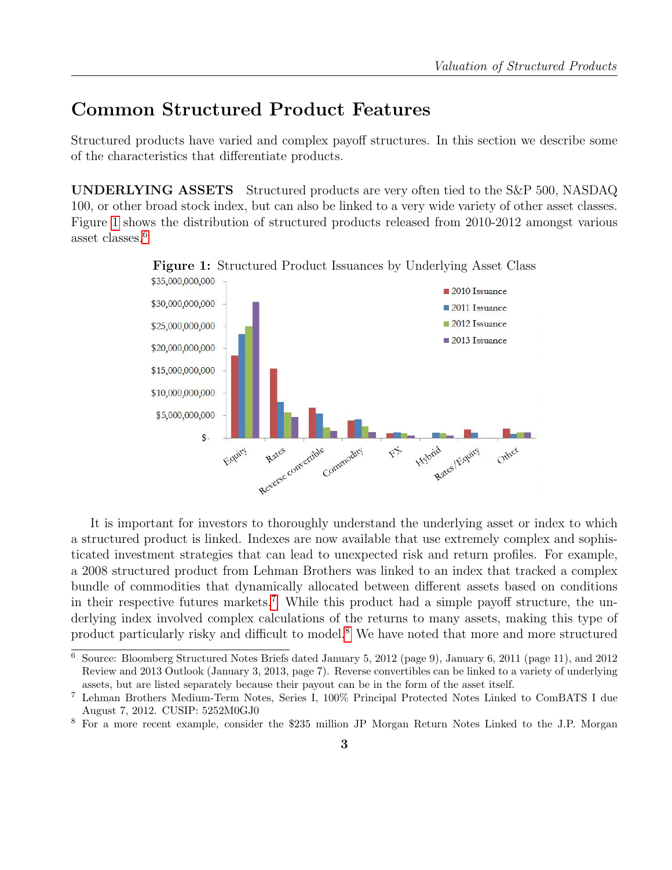## Common Structured Product Features

Structured products have varied and complex payoff structures. In this section we describe some of the characteristics that differentiate products.

<span id="page-2-0"></span>UNDERLYING ASSETS Structured products are very often tied to the S&P 500, NASDAQ 100, or other broad stock index, but can also be linked to a very wide variety of other asset classes. Figure [1](#page-2-0) shows the distribution of structured products released from 2010-2012 amongst various asset classes.[6](#page-0-0)





It is important for investors to thoroughly understand the underlying asset or index to which a structured product is linked. Indexes are now available that use extremely complex and sophisticated investment strategies that can lead to unexpected risk and return profiles. For example, a 2008 structured product from Lehman Brothers was linked to an index that tracked a complex bundle of commodities that dynamically allocated between different assets based on conditions in their respective futures markets.<sup>[7](#page-0-0)</sup> While this product had a simple payoff structure, the underlying index involved complex calculations of the returns to many assets, making this type of product particularly risky and difficult to model.<sup>[8](#page-0-0)</sup> We have noted that more and more structured

<sup>6</sup> Source: Bloomberg Structured Notes Briefs dated January 5, 2012 (page 9), January 6, 2011 (page 11), and 2012 Review and 2013 Outlook (January 3, 2013, page 7). Reverse convertibles can be linked to a variety of underlying assets, but are listed separately because their payout can be in the form of the asset itself.

<sup>7</sup> Lehman Brothers Medium-Term Notes, Series I, 100% Principal Protected Notes Linked to ComBATS I due August 7, 2012. CUSIP: 5252M0GJ0

<sup>8</sup> For a more recent example, consider the \$235 million JP Morgan Return Notes Linked to the J.P. Morgan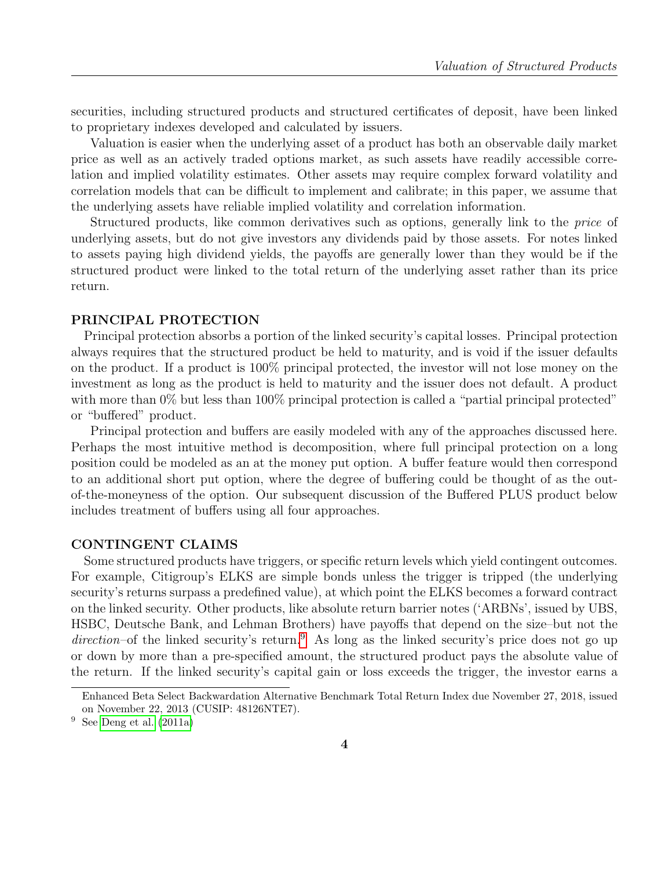securities, including structured products and structured certificates of deposit, have been linked to proprietary indexes developed and calculated by issuers.

Valuation is easier when the underlying asset of a product has both an observable daily market price as well as an actively traded options market, as such assets have readily accessible correlation and implied volatility estimates. Other assets may require complex forward volatility and correlation models that can be difficult to implement and calibrate; in this paper, we assume that the underlying assets have reliable implied volatility and correlation information.

Structured products, like common derivatives such as options, generally link to the price of underlying assets, but do not give investors any dividends paid by those assets. For notes linked to assets paying high dividend yields, the payoffs are generally lower than they would be if the structured product were linked to the total return of the underlying asset rather than its price return.

#### PRINCIPAL PROTECTION

Principal protection absorbs a portion of the linked security's capital losses. Principal protection always requires that the structured product be held to maturity, and is void if the issuer defaults on the product. If a product is 100% principal protected, the investor will not lose money on the investment as long as the product is held to maturity and the issuer does not default. A product with more than  $0\%$  but less than  $100\%$  principal protection is called a "partial principal protected" or "buffered" product.

Principal protection and buffers are easily modeled with any of the approaches discussed here. Perhaps the most intuitive method is decomposition, where full principal protection on a long position could be modeled as an at the money put option. A buffer feature would then correspond to an additional short put option, where the degree of buffering could be thought of as the outof-the-moneyness of the option. Our subsequent discussion of the Buffered PLUS product below includes treatment of buffers using all four approaches.

#### CONTINGENT CLAIMS

Some structured products have triggers, or specific return levels which yield contingent outcomes. For example, Citigroup's ELKS are simple bonds unless the trigger is tripped (the underlying security's returns surpass a predefined value), at which point the ELKS becomes a forward contract on the linked security. Other products, like absolute return barrier notes ('ARBNs', issued by UBS, HSBC, Deutsche Bank, and Lehman Brothers) have payoffs that depend on the size–but not the  $direction$ –of the linked security's return.<sup>[9](#page-0-0)</sup> As long as the linked security's price does not go up or down by more than a pre-specified amount, the structured product pays the absolute value of the return. If the linked security's capital gain or loss exceeds the trigger, the investor earns a

Enhanced Beta Select Backwardation Alternative Benchmark Total Return Index due November 27, 2018, issued on November 22, 2013 (CUSIP: 48126NTE7).

<sup>&</sup>lt;sup>9</sup> See [Deng et al.](#page-21-6)  $(2011a)$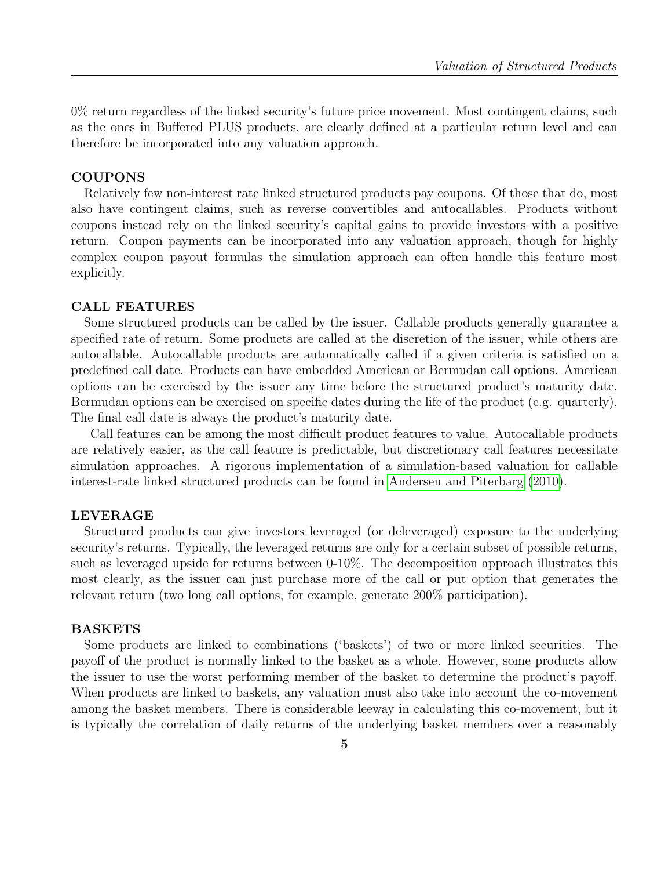0% return regardless of the linked security's future price movement. Most contingent claims, such as the ones in Buffered PLUS products, are clearly defined at a particular return level and can therefore be incorporated into any valuation approach.

#### COUPONS

Relatively few non-interest rate linked structured products pay coupons. Of those that do, most also have contingent claims, such as reverse convertibles and autocallables. Products without coupons instead rely on the linked security's capital gains to provide investors with a positive return. Coupon payments can be incorporated into any valuation approach, though for highly complex coupon payout formulas the simulation approach can often handle this feature most explicitly.

#### CALL FEATURES

Some structured products can be called by the issuer. Callable products generally guarantee a specified rate of return. Some products are called at the discretion of the issuer, while others are autocallable. Autocallable products are automatically called if a given criteria is satisfied on a predefined call date. Products can have embedded American or Bermudan call options. American options can be exercised by the issuer any time before the structured product's maturity date. Bermudan options can be exercised on specific dates during the life of the product (e.g. quarterly). The final call date is always the product's maturity date.

Call features can be among the most difficult product features to value. Autocallable products are relatively easier, as the call feature is predictable, but discretionary call features necessitate simulation approaches. A rigorous implementation of a simulation-based valuation for callable interest-rate linked structured products can be found in [Andersen and Piterbarg](#page-20-2) [\(2010\)](#page-20-2).

#### LEVERAGE

Structured products can give investors leveraged (or deleveraged) exposure to the underlying security's returns. Typically, the leveraged returns are only for a certain subset of possible returns, such as leveraged upside for returns between 0-10%. The decomposition approach illustrates this most clearly, as the issuer can just purchase more of the call or put option that generates the relevant return (two long call options, for example, generate 200% participation).

#### BASKETS

Some products are linked to combinations ('baskets') of two or more linked securities. The payoff of the product is normally linked to the basket as a whole. However, some products allow the issuer to use the worst performing member of the basket to determine the product's payoff. When products are linked to baskets, any valuation must also take into account the co-movement among the basket members. There is considerable leeway in calculating this co-movement, but it is typically the correlation of daily returns of the underlying basket members over a reasonably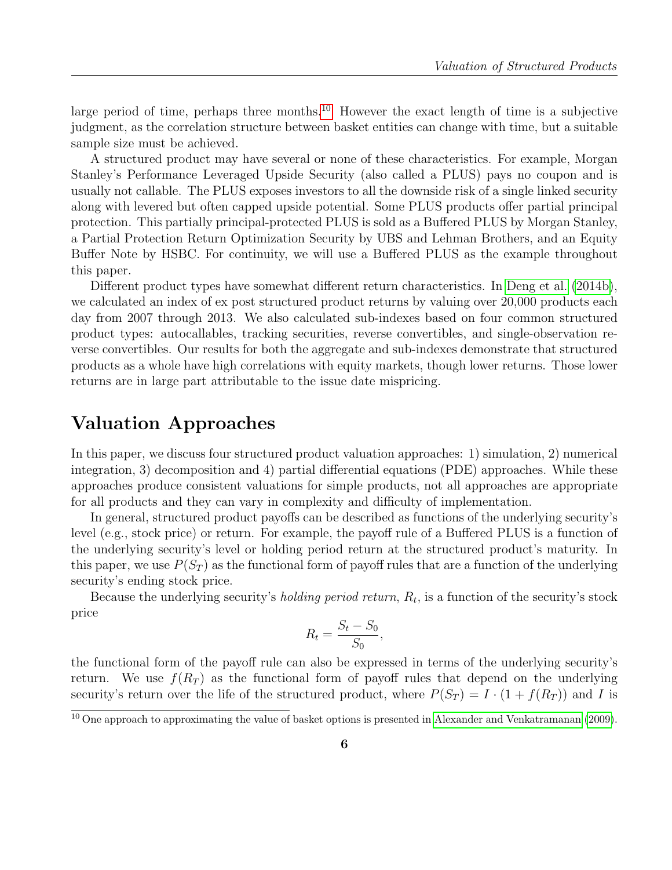large period of time, perhaps three months.<sup>[10](#page-0-0)</sup> However the exact length of time is a subjective judgment, as the correlation structure between basket entities can change with time, but a suitable sample size must be achieved.

A structured product may have several or none of these characteristics. For example, Morgan Stanley's Performance Leveraged Upside Security (also called a PLUS) pays no coupon and is usually not callable. The PLUS exposes investors to all the downside risk of a single linked security along with levered but often capped upside potential. Some PLUS products offer partial principal protection. This partially principal-protected PLUS is sold as a Buffered PLUS by Morgan Stanley, a Partial Protection Return Optimization Security by UBS and Lehman Brothers, and an Equity Buffer Note by HSBC. For continuity, we will use a Buffered PLUS as the example throughout this paper.

Different product types have somewhat different return characteristics. In [Deng et al.](#page-22-2) [\(2014b\)](#page-22-2), we calculated an index of ex post structured product returns by valuing over 20,000 products each day from 2007 through 2013. We also calculated sub-indexes based on four common structured product types: autocallables, tracking securities, reverse convertibles, and single-observation reverse convertibles. Our results for both the aggregate and sub-indexes demonstrate that structured products as a whole have high correlations with equity markets, though lower returns. Those lower returns are in large part attributable to the issue date mispricing.

## Valuation Approaches

In this paper, we discuss four structured product valuation approaches: 1) simulation, 2) numerical integration, 3) decomposition and 4) partial differential equations (PDE) approaches. While these approaches produce consistent valuations for simple products, not all approaches are appropriate for all products and they can vary in complexity and difficulty of implementation.

In general, structured product payoffs can be described as functions of the underlying security's level (e.g., stock price) or return. For example, the payoff rule of a Buffered PLUS is a function of the underlying security's level or holding period return at the structured product's maturity. In this paper, we use  $P(S_T)$  as the functional form of payoff rules that are a function of the underlying security's ending stock price.

Because the underlying security's *holding period return*,  $R_t$ , is a function of the security's stock price

$$
R_t = \frac{S_t - S_0}{S_0},
$$

the functional form of the payoff rule can also be expressed in terms of the underlying security's return. We use  $f(R_T)$  as the functional form of payoff rules that depend on the underlying security's return over the life of the structured product, where  $P(S_T) = I \cdot (1 + f(R_T))$  and I is

 $10$  One approach to approximating the value of basket options is presented in [Alexander and Venkatramanan](#page-20-1) [\(2009\)](#page-20-1).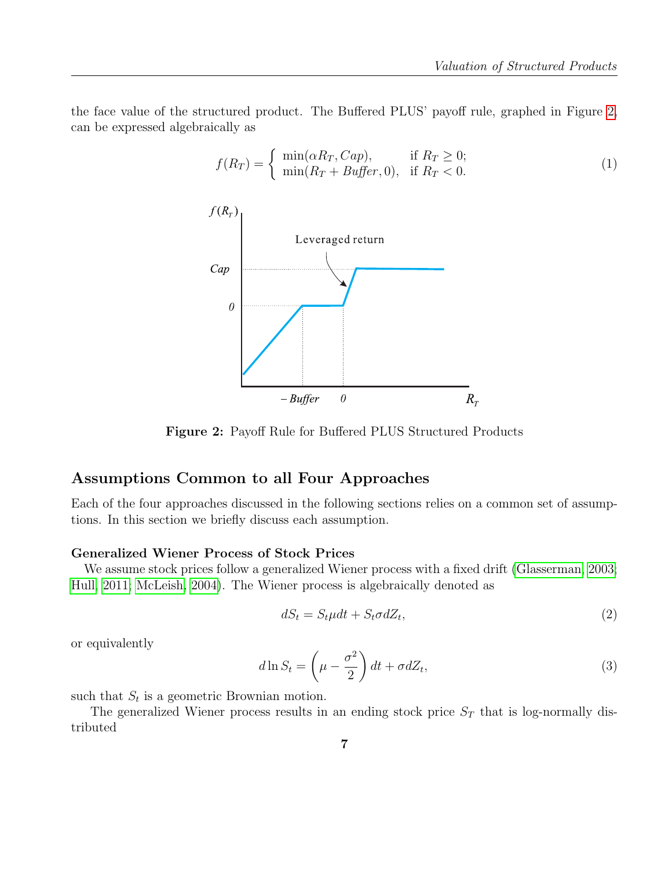<span id="page-6-0"></span>the face value of the structured product. The Buffered PLUS' payoff rule, graphed in Figure [2,](#page-6-0) can be expressed algebraically as

<span id="page-6-2"></span>
$$
f(R_T) = \begin{cases} \min(\alpha R_T, Cap), & \text{if } R_T \ge 0; \\ \min(R_T + Buffer, 0), & \text{if } R_T < 0. \end{cases}
$$
 (1)



Figure 2: Payoff Rule for Buffered PLUS Structured Products

## Assumptions Common to all Four Approaches

Each of the four approaches discussed in the following sections relies on a common set of assumptions. In this section we briefly discuss each assumption.

#### Generalized Wiener Process of Stock Prices

We assume stock prices follow a generalized Wiener process with a fixed drift [\(Glasserman, 2003;](#page-22-3) [Hull, 2011;](#page-22-4) [McLeish, 2004\)](#page-22-5). The Wiener process is algebraically denoted as

<span id="page-6-1"></span>
$$
dS_t = S_t \mu dt + S_t \sigma dZ_t,\tag{2}
$$

or equivalently

$$
d\ln S_t = \left(\mu - \frac{\sigma^2}{2}\right)dt + \sigma dZ_t,
$$
\n(3)

such that  $S_t$  is a geometric Brownian motion.

The generalized Wiener process results in an ending stock price  $S_T$  that is log-normally distributed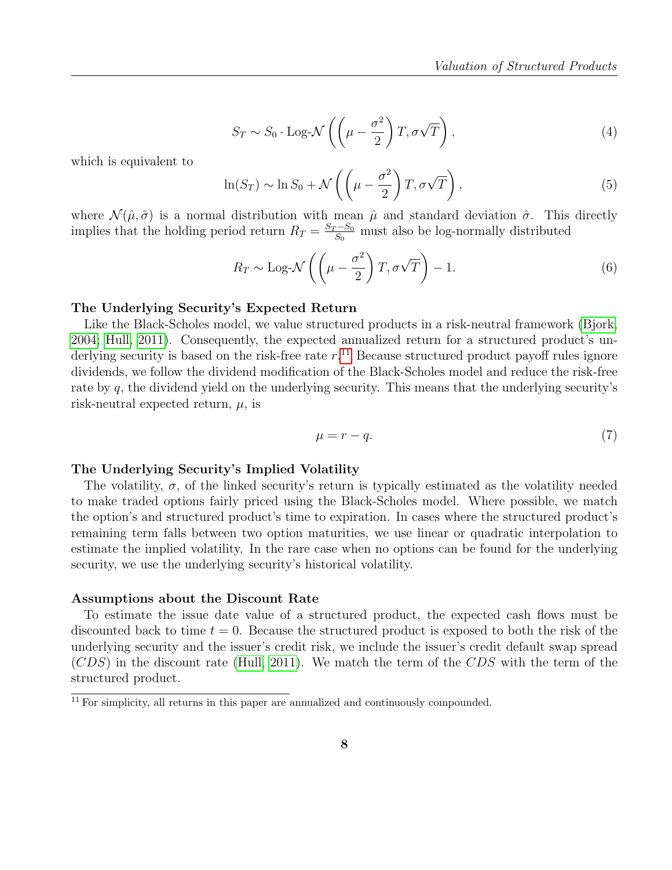<span id="page-7-0"></span>
$$
S_T \sim S_0 \cdot \text{Log-}\mathcal{N}\left(\left(\mu - \frac{\sigma^2}{2}\right)T, \sigma\sqrt{T}\right),\tag{4}
$$

which is equivalent to

$$
\ln(S_T) \sim \ln S_0 + \mathcal{N}\left(\left(\mu - \frac{\sigma^2}{2}\right)T, \sigma\sqrt{T}\right),\tag{5}
$$

where  $\mathcal{N}(\hat{\mu}, \hat{\sigma})$  is a normal distribution with mean  $\hat{\mu}$  and standard deviation  $\hat{\sigma}$ . This directly implies that the holding period return  $R_T = \frac{S_T - S_0}{S_0}$  $\frac{S_0 - S_0}{S_0}$  must also be log-normally distributed

<span id="page-7-1"></span>
$$
R_T \sim \text{Log-}\mathcal{N}\left(\left(\mu - \frac{\sigma^2}{2}\right)T, \sigma\sqrt{T}\right) - 1. \tag{6}
$$

#### The Underlying Security's Expected Return

Like the Black-Scholes model, we value structured products in a risk-neutral framework [\(Bjork,](#page-21-9) [2004;](#page-21-9) [Hull, 2011\)](#page-22-4). Consequently, the expected annualized return for a structured product's underlying security is based on the risk-free rate  $r<sup>11</sup>$  $r<sup>11</sup>$  $r<sup>11</sup>$  Because structured product payoff rules ignore dividends, we follow the dividend modification of the Black-Scholes model and reduce the risk-free rate by q, the dividend yield on the underlying security. This means that the underlying security's risk-neutral expected return,  $\mu$ , is

$$
\mu = r - q.\tag{7}
$$

#### The Underlying Security's Implied Volatility

The volatility,  $\sigma$ , of the linked security's return is typically estimated as the volatility needed to make traded options fairly priced using the Black-Scholes model. Where possible, we match the option's and structured product's time to expiration. In cases where the structured product's remaining term falls between two option maturities, we use linear or quadratic interpolation to estimate the implied volatility. In the rare case when no options can be found for the underlying security, we use the underlying security's historical volatility.

#### Assumptions about the Discount Rate

To estimate the issue date value of a structured product, the expected cash flows must be discounted back to time  $t = 0$ . Because the structured product is exposed to both the risk of the underlying security and the issuer's credit risk, we include the issuer's credit default swap spread  $(CDS)$  in the discount rate [\(Hull, 2011\)](#page-22-4). We match the term of the  $CDS$  with the term of the structured product.

 $11$  For simplicity, all returns in this paper are annualized and continuously compounded.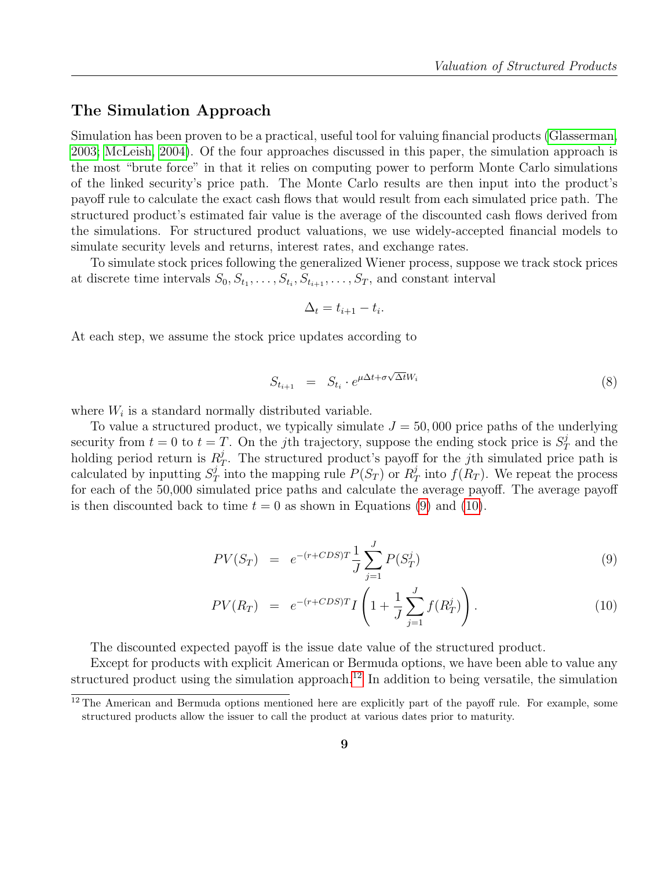### The Simulation Approach

Simulation has been proven to be a practical, useful tool for valuing financial products [\(Glasserman,](#page-22-3) [2003;](#page-22-3) [McLeish, 2004\)](#page-22-5). Of the four approaches discussed in this paper, the simulation approach is the most "brute force" in that it relies on computing power to perform Monte Carlo simulations of the linked security's price path. The Monte Carlo results are then input into the product's payoff rule to calculate the exact cash flows that would result from each simulated price path. The structured product's estimated fair value is the average of the discounted cash flows derived from the simulations. For structured product valuations, we use widely-accepted financial models to simulate security levels and returns, interest rates, and exchange rates.

To simulate stock prices following the generalized Wiener process, suppose we track stock prices at discrete time intervals  $S_0, S_{t_1}, \ldots, S_{t_i}, S_{t_{i+1}}, \ldots, S_T$ , and constant interval

$$
\Delta_t = t_{i+1} - t_i
$$

.

At each step, we assume the stock price updates according to

<span id="page-8-1"></span>
$$
S_{t_{i+1}} = S_{t_i} \cdot e^{\mu \Delta t + \sigma \sqrt{\Delta t} W_i} \tag{8}
$$

where  $W_i$  is a standard normally distributed variable.

To value a structured product, we typically simulate  $J = 50,000$  price paths of the underlying security from  $t = 0$  to  $t = T$ . On the jth trajectory, suppose the ending stock price is  $S_T^j$  $T$  and the holding period return is  $R_7^j$  $T<sub>T</sub>$ . The structured product's payoff for the *j*th simulated price path is calculated by inputting  $S_7^j$  $T\overline{T}$  into the mapping rule  $P(S_T)$  or  $R_T^j$  $T<sub>T</sub>$  into  $f(R_T)$ . We repeat the process for each of the 50,000 simulated price paths and calculate the average payoff. The average payoff is then discounted back to time  $t = 0$  as shown in Equations [\(9\)](#page-8-0) and [\(10\)](#page-8-0).

<span id="page-8-0"></span>
$$
PV(S_T) = e^{-(r + CDS)T} \frac{1}{J} \sum_{j=1}^{J} P(S_T^j)
$$
\n(9)

$$
PV(R_T) = e^{-(r+CDS)T} I \left( 1 + \frac{1}{J} \sum_{j=1}^{J} f(R_T^j) \right).
$$
 (10)

The discounted expected payoff is the issue date value of the structured product.

Except for products with explicit American or Bermuda options, we have been able to value any structured product using the simulation approach.<sup>[12](#page-0-0)</sup> In addition to being versatile, the simulation

 $12$  The American and Bermuda options mentioned here are explicitly part of the payoff rule. For example, some structured products allow the issuer to call the product at various dates prior to maturity.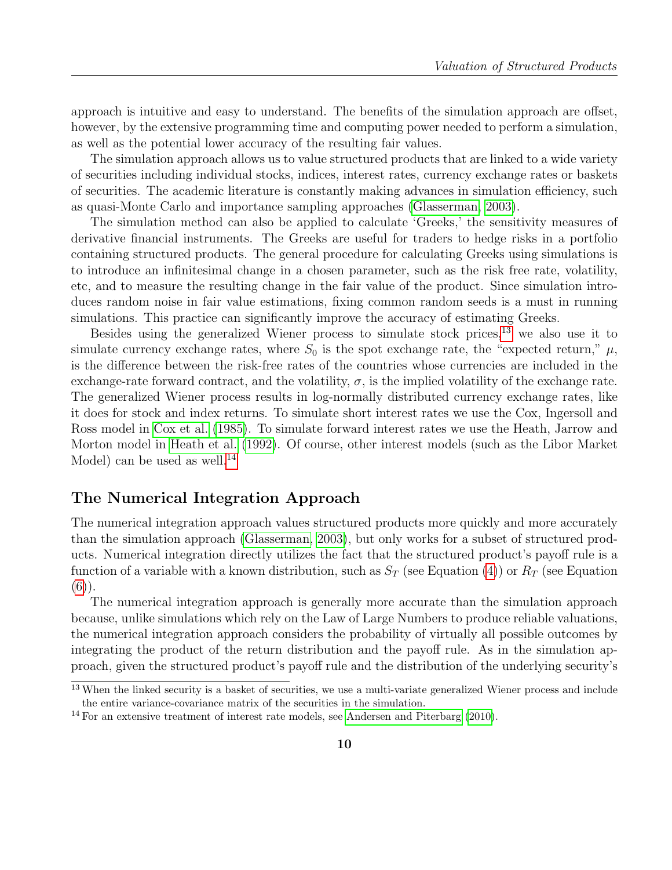approach is intuitive and easy to understand. The benefits of the simulation approach are offset, however, by the extensive programming time and computing power needed to perform a simulation, as well as the potential lower accuracy of the resulting fair values.

The simulation approach allows us to value structured products that are linked to a wide variety of securities including individual stocks, indices, interest rates, currency exchange rates or baskets of securities. The academic literature is constantly making advances in simulation efficiency, such as quasi-Monte Carlo and importance sampling approaches [\(Glasserman, 2003\)](#page-22-3).

The simulation method can also be applied to calculate 'Greeks,' the sensitivity measures of derivative financial instruments. The Greeks are useful for traders to hedge risks in a portfolio containing structured products. The general procedure for calculating Greeks using simulations is to introduce an infinitesimal change in a chosen parameter, such as the risk free rate, volatility, etc, and to measure the resulting change in the fair value of the product. Since simulation introduces random noise in fair value estimations, fixing common random seeds is a must in running simulations. This practice can significantly improve the accuracy of estimating Greeks.

Besides using the generalized Wiener process to simulate stock prices,[13](#page-0-0) we also use it to simulate currency exchange rates, where  $S_0$  is the spot exchange rate, the "expected return,"  $\mu$ , is the difference between the risk-free rates of the countries whose currencies are included in the exchange-rate forward contract, and the volatility,  $\sigma$ , is the implied volatility of the exchange rate. The generalized Wiener process results in log-normally distributed currency exchange rates, like it does for stock and index returns. To simulate short interest rates we use the Cox, Ingersoll and Ross model in [Cox et al.](#page-21-10) [\(1985\)](#page-21-10). To simulate forward interest rates we use the Heath, Jarrow and Morton model in [Heath et al.](#page-22-6) [\(1992\)](#page-22-6). Of course, other interest models (such as the Libor Market Model) can be used as well.<sup>[14](#page-0-0)</sup>

### The Numerical Integration Approach

The numerical integration approach values structured products more quickly and more accurately than the simulation approach [\(Glasserman, 2003\)](#page-22-3), but only works for a subset of structured products. Numerical integration directly utilizes the fact that the structured product's payoff rule is a function of a variable with a known distribution, such as  $S_T$  (see Equation [\(4\)](#page-7-0)) or  $R_T$  (see Equation  $(6)$ ).

The numerical integration approach is generally more accurate than the simulation approach because, unlike simulations which rely on the Law of Large Numbers to produce reliable valuations, the numerical integration approach considers the probability of virtually all possible outcomes by integrating the product of the return distribution and the payoff rule. As in the simulation approach, given the structured product's payoff rule and the distribution of the underlying security's

 $\frac{13}{13}$  When the linked security is a basket of securities, we use a multi-variate generalized Wiener process and include the entire variance-covariance matrix of the securities in the simulation.

 $14$  For an extensive treatment of interest rate models, see [Andersen and Piterbarg](#page-20-2) [\(2010\)](#page-20-2).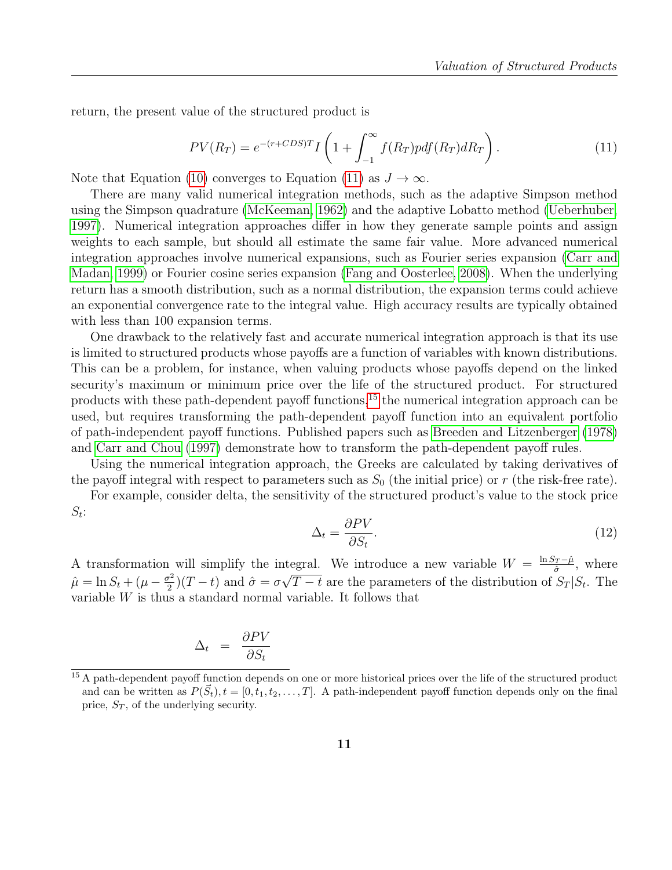return, the present value of the structured product is

<span id="page-10-0"></span>
$$
PV(R_T) = e^{-(r+CDS)T} I\left(1 + \int_{-1}^{\infty} f(R_T)pdf(R_T)dR_T\right). \tag{11}
$$

Note that Equation [\(10\)](#page-8-0) converges to Equation [\(11\)](#page-10-0) as  $J \to \infty$ .

There are many valid numerical integration methods, such as the adaptive Simpson method using the Simpson quadrature [\(McKeeman, 1962\)](#page-22-7) and the adaptive Lobatto method [\(Ueberhuber,](#page-22-8) [1997\)](#page-22-8). Numerical integration approaches differ in how they generate sample points and assign weights to each sample, but should all estimate the same fair value. More advanced numerical integration approaches involve numerical expansions, such as Fourier series expansion [\(Carr and](#page-21-11) [Madan, 1999\)](#page-21-11) or Fourier cosine series expansion [\(Fang and Oosterlee, 2008\)](#page-22-9). When the underlying return has a smooth distribution, such as a normal distribution, the expansion terms could achieve an exponential convergence rate to the integral value. High accuracy results are typically obtained with less than 100 expansion terms.

One drawback to the relatively fast and accurate numerical integration approach is that its use is limited to structured products whose payoffs are a function of variables with known distributions. This can be a problem, for instance, when valuing products whose payoffs depend on the linked security's maximum or minimum price over the life of the structured product. For structured products with these path-dependent payoff functions,<sup>[15](#page-0-0)</sup> the numerical integration approach can be used, but requires transforming the path-dependent payoff function into an equivalent portfolio of path-independent payoff functions. Published papers such as [Breeden and Litzenberger](#page-21-12) [\(1978\)](#page-21-12) and [Carr and Chou](#page-21-13) [\(1997\)](#page-21-13) demonstrate how to transform the path-dependent payoff rules.

Using the numerical integration approach, the Greeks are calculated by taking derivatives of the payoff integral with respect to parameters such as  $S_0$  (the initial price) or r (the risk-free rate).

For example, consider delta, the sensitivity of the structured product's value to the stock price  $S_t$ :

$$
\Delta_t = \frac{\partial PV}{\partial S_t}.\tag{12}
$$

A transformation will simplify the integral. We introduce a new variable  $W = \frac{\ln S_T - \hat{\mu}}{\hat{\sigma}}$ ntegral. We introduce a new variable  $W = \frac{\ln S_T - \mu}{\hat{\sigma}}$ , where  $\hat{\mu} = \ln S_t + (\mu - \frac{\sigma^2}{2})$  $\frac{\partial^2}{\partial x^2}(T-t)$  and  $\hat{\sigma} = \sigma\sqrt{T-t}$  are the parameters of the distribution of  $S_T|S_t$ . The variable W is thus a standard normal variable. It follows that

$$
\Delta_t \;\; = \;\; \frac{\partial PV}{\partial S_t}
$$

<sup>&</sup>lt;sup>15</sup> A path-dependent payoff function depends on one or more historical prices over the life of the structured product and can be written as  $P(\vec{S}_t), t = [0, t_1, t_2, \dots, T]$ . A path-independent payoff function depends only on the final price,  $S_T$ , of the underlying security.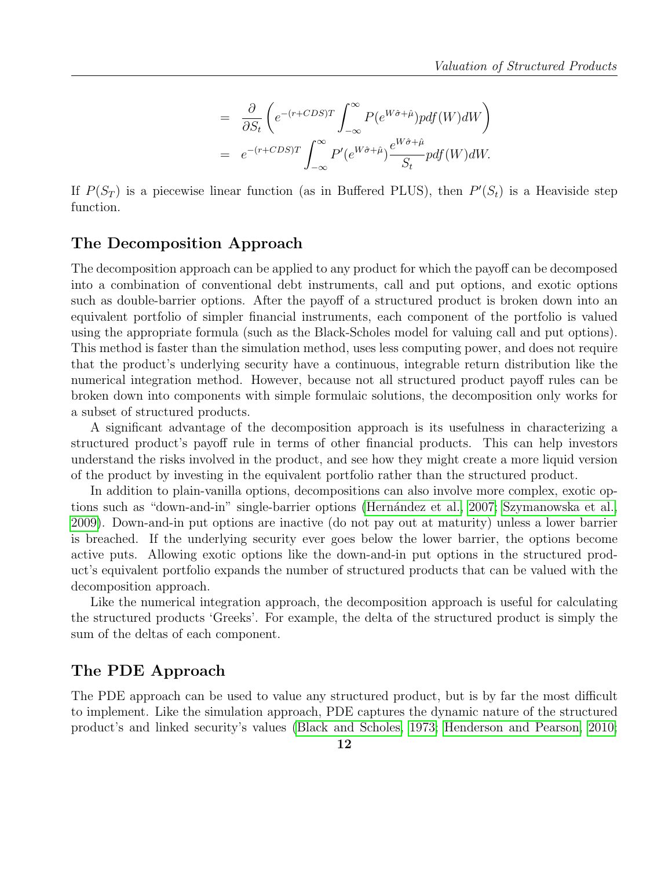$$
= \frac{\partial}{\partial S_t} \left( e^{-(r+CDS)T} \int_{-\infty}^{\infty} P(e^{W\hat{\sigma}+\hat{\mu}}) p df(W) dW \right)
$$
  
=  $e^{-(r+CDS)T} \int_{-\infty}^{\infty} P'(e^{W\hat{\sigma}+\hat{\mu}}) \frac{e^{W\hat{\sigma}+\hat{\mu}}}{S_t} p df(W) dW.$ 

If  $P(S_T)$  is a piecewise linear function (as in Buffered PLUS), then  $P'(S_t)$  is a Heaviside step function.

### The Decomposition Approach

The decomposition approach can be applied to any product for which the payoff can be decomposed into a combination of conventional debt instruments, call and put options, and exotic options such as double-barrier options. After the payoff of a structured product is broken down into an equivalent portfolio of simpler financial instruments, each component of the portfolio is valued using the appropriate formula (such as the Black-Scholes model for valuing call and put options). This method is faster than the simulation method, uses less computing power, and does not require that the product's underlying security have a continuous, integrable return distribution like the numerical integration method. However, because not all structured product payoff rules can be broken down into components with simple formulaic solutions, the decomposition only works for a subset of structured products.

A significant advantage of the decomposition approach is its usefulness in characterizing a structured product's payoff rule in terms of other financial products. This can help investors understand the risks involved in the product, and see how they might create a more liquid version of the product by investing in the equivalent portfolio rather than the structured product.

In addition to plain-vanilla options, decompositions can also involve more complex, exotic op-tions such as "down-and-in" single-barrier options (Hernández et al., 2007; [Szymanowska et al.,](#page-22-11) [2009\)](#page-22-11). Down-and-in put options are inactive (do not pay out at maturity) unless a lower barrier is breached. If the underlying security ever goes below the lower barrier, the options become active puts. Allowing exotic options like the down-and-in put options in the structured product's equivalent portfolio expands the number of structured products that can be valued with the decomposition approach.

Like the numerical integration approach, the decomposition approach is useful for calculating the structured products 'Greeks'. For example, the delta of the structured product is simply the sum of the deltas of each component.

## The PDE Approach

The PDE approach can be used to value any structured product, but is by far the most difficult to implement. Like the simulation approach, PDE captures the dynamic nature of the structured product's and linked security's values [\(Black and Scholes, 1973;](#page-21-14) [Henderson and Pearson, 2010;](#page-22-1)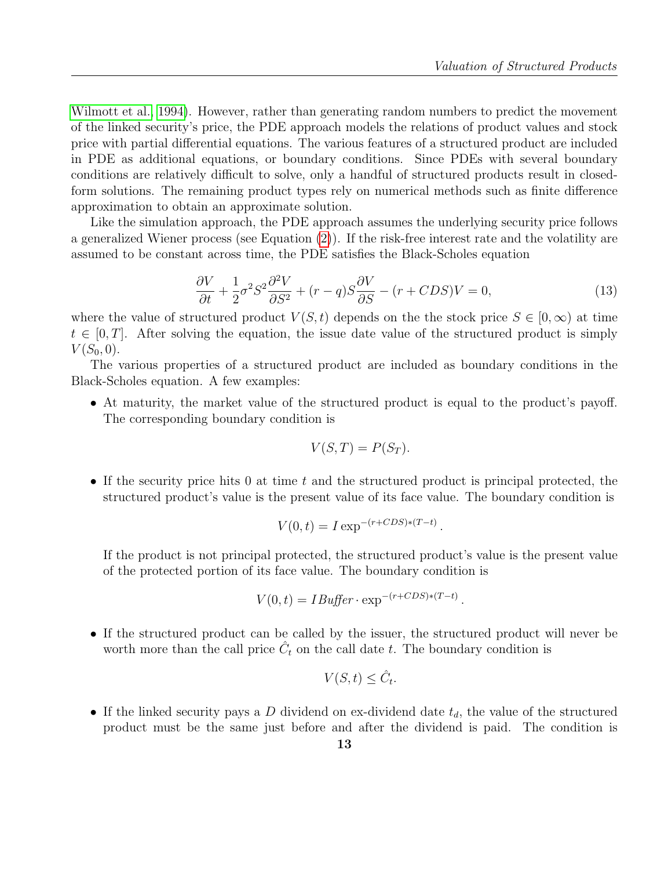[Wilmott et al., 1994\)](#page-23-0). However, rather than generating random numbers to predict the movement of the linked security's price, the PDE approach models the relations of product values and stock price with partial differential equations. The various features of a structured product are included in PDE as additional equations, or boundary conditions. Since PDEs with several boundary conditions are relatively difficult to solve, only a handful of structured products result in closedform solutions. The remaining product types rely on numerical methods such as finite difference approximation to obtain an approximate solution.

Like the simulation approach, the PDE approach assumes the underlying security price follows a generalized Wiener process (see Equation [\(2\)](#page-6-1)). If the risk-free interest rate and the volatility are assumed to be constant across time, the PDE satisfies the Black-Scholes equation

$$
\frac{\partial V}{\partial t} + \frac{1}{2}\sigma^2 S^2 \frac{\partial^2 V}{\partial S^2} + (r - q)S \frac{\partial V}{\partial S} - (r + CDS)V = 0,\tag{13}
$$

where the value of structured product  $V(S,t)$  depends on the the stock price  $S \in [0,\infty)$  at time  $t \in [0, T]$ . After solving the equation, the issue date value of the structured product is simply  $V(S_0, 0)$ .

The various properties of a structured product are included as boundary conditions in the Black-Scholes equation. A few examples:

• At maturity, the market value of the structured product is equal to the product's payoff. The corresponding boundary condition is

$$
V(S,T) = P(S_T).
$$

• If the security price hits 0 at time t and the structured product is principal protected, the structured product's value is the present value of its face value. The boundary condition is

$$
V(0,t) = I \exp^{-(r+CDS)*(T-t)}.
$$

If the product is not principal protected, the structured product's value is the present value of the protected portion of its face value. The boundary condition is

$$
V(0,t) = IBu f f e r \cdot \exp^{-(r+CDS)*(T-t)}.
$$

• If the structured product can be called by the issuer, the structured product will never be worth more than the call price  $\hat{C}_t$  on the call date t. The boundary condition is

$$
V(S, t) \leq \hat{C}_t.
$$

• If the linked security pays a D dividend on ex-dividend date  $t_d$ , the value of the structured product must be the same just before and after the dividend is paid. The condition is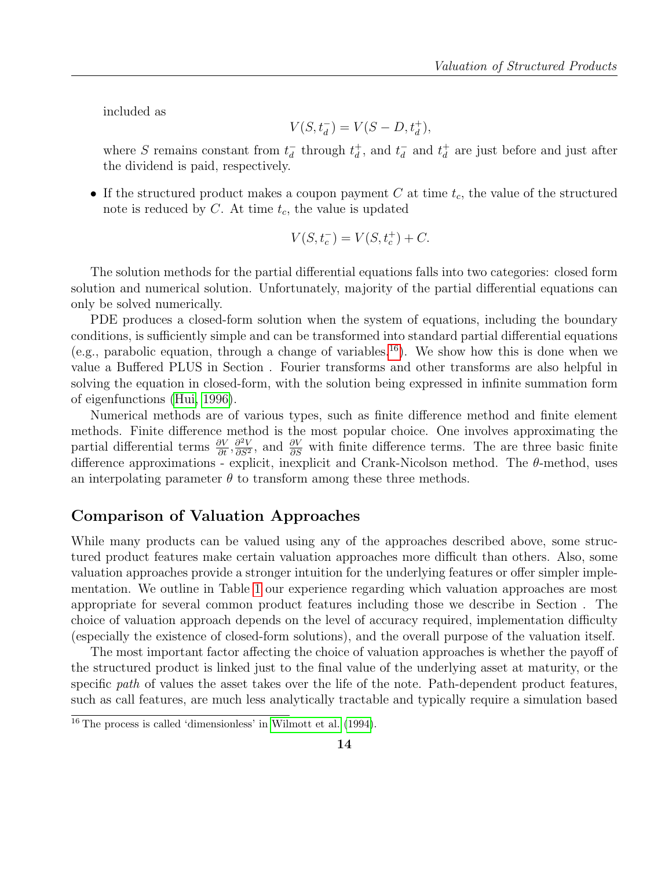included as

$$
V(S, t_d^-) = V(S - D, t_d^+),
$$

where S remains constant from  $t_d^ \frac{1}{d}$  through  $t_d^+$  $t_d^+$ , and  $t_d^ \frac{1}{d}$  and  $t_d^+$  $_d^+$  are just before and just after the dividend is paid, respectively.

• If the structured product makes a coupon payment  $C$  at time  $t_c$ , the value of the structured note is reduced by  $C$ . At time  $t_c$ , the value is updated

$$
V(S, t_c^-) = V(S, t_c^+) + C.
$$

The solution methods for the partial differential equations falls into two categories: closed form solution and numerical solution. Unfortunately, majority of the partial differential equations can only be solved numerically.

PDE produces a closed-form solution when the system of equations, including the boundary conditions, is sufficiently simple and can be transformed into standard partial differential equations (e.g., parabolic equation, through a change of variables.<sup>[16](#page-0-0)</sup>). We show how this is done when we value a Buffered PLUS in Section . Fourier transforms and other transforms are also helpful in solving the equation in closed-form, with the solution being expressed in infinite summation form of eigenfunctions [\(Hui, 1996\)](#page-22-12).

Numerical methods are of various types, such as finite difference method and finite element methods. Finite difference method is the most popular choice. One involves approximating the partial differential terms  $\frac{\partial V}{\partial t}, \frac{\partial^2 V}{\partial S^2}$  $\frac{\partial^2 V}{\partial S^2}$ , and  $\frac{\partial V}{\partial S}$  with finite difference terms. The are three basic finite difference approximations - explicit, inexplicit and Crank-Nicolson method. The  $\theta$ -method, uses an interpolating parameter  $\theta$  to transform among these three methods.

## Comparison of Valuation Approaches

While many products can be valued using any of the approaches described above, some structured product features make certain valuation approaches more difficult than others. Also, some valuation approaches provide a stronger intuition for the underlying features or offer simpler implementation. We outline in Table [1](#page-14-0) our experience regarding which valuation approaches are most appropriate for several common product features including those we describe in Section . The choice of valuation approach depends on the level of accuracy required, implementation difficulty (especially the existence of closed-form solutions), and the overall purpose of the valuation itself.

The most important factor affecting the choice of valuation approaches is whether the payoff of the structured product is linked just to the final value of the underlying asset at maturity, or the specific path of values the asset takes over the life of the note. Path-dependent product features, such as call features, are much less analytically tractable and typically require a simulation based

<sup>16</sup> The process is called 'dimensionless' in [Wilmott et al.](#page-23-0) [\(1994\)](#page-23-0).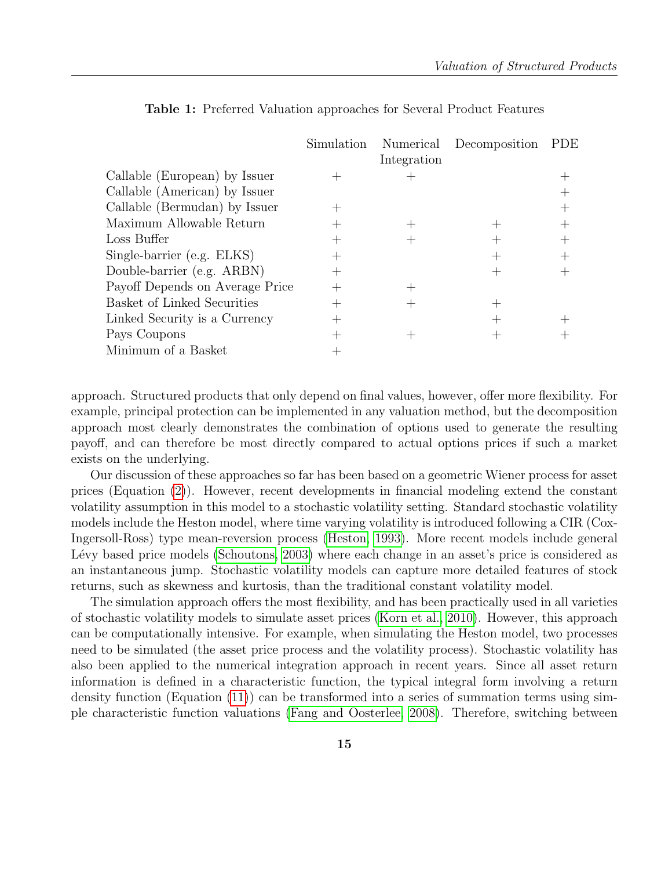<span id="page-14-0"></span>

|                                 | Simulation | Numerical<br>Integration | Decomposition | <b>PDE</b> |
|---------------------------------|------------|--------------------------|---------------|------------|
| Callable (European) by Issuer   |            |                          |               |            |
| Callable (American) by Issuer   |            |                          |               |            |
| Callable (Bermudan) by Issuer   |            |                          |               |            |
| Maximum Allowable Return        |            |                          |               |            |
| Loss Buffer                     |            |                          |               |            |
| Single-barrier (e.g. ELKS)      |            |                          |               |            |
| Double-barrier (e.g. ARBN)      | $^+$       |                          |               |            |
| Payoff Depends on Average Price |            |                          |               |            |
| Basket of Linked Securities     |            |                          |               |            |
| Linked Security is a Currency   |            |                          |               |            |
| Pays Coupons                    |            |                          |               |            |
| Minimum of a Basket             |            |                          |               |            |

Table 1: Preferred Valuation approaches for Several Product Features

approach. Structured products that only depend on final values, however, offer more flexibility. For example, principal protection can be implemented in any valuation method, but the decomposition approach most clearly demonstrates the combination of options used to generate the resulting payoff, and can therefore be most directly compared to actual options prices if such a market exists on the underlying.

Our discussion of these approaches so far has been based on a geometric Wiener process for asset prices (Equation [\(2\)](#page-6-1)). However, recent developments in financial modeling extend the constant volatility assumption in this model to a stochastic volatility setting. Standard stochastic volatility models include the Heston model, where time varying volatility is introduced following a CIR (Cox-Ingersoll-Ross) type mean-reversion process [\(Heston, 1993\)](#page-22-13). More recent models include general Lévy based price models [\(Schoutons, 2003\)](#page-22-14) where each change in an asset's price is considered as an instantaneous jump. Stochastic volatility models can capture more detailed features of stock returns, such as skewness and kurtosis, than the traditional constant volatility model.

The simulation approach offers the most flexibility, and has been practically used in all varieties of stochastic volatility models to simulate asset prices [\(Korn et al., 2010\)](#page-22-15). However, this approach can be computationally intensive. For example, when simulating the Heston model, two processes need to be simulated (the asset price process and the volatility process). Stochastic volatility has also been applied to the numerical integration approach in recent years. Since all asset return information is defined in a characteristic function, the typical integral form involving a return density function (Equation [\(11\)](#page-10-0)) can be transformed into a series of summation terms using simple characteristic function valuations [\(Fang and Oosterlee, 2008\)](#page-22-9). Therefore, switching between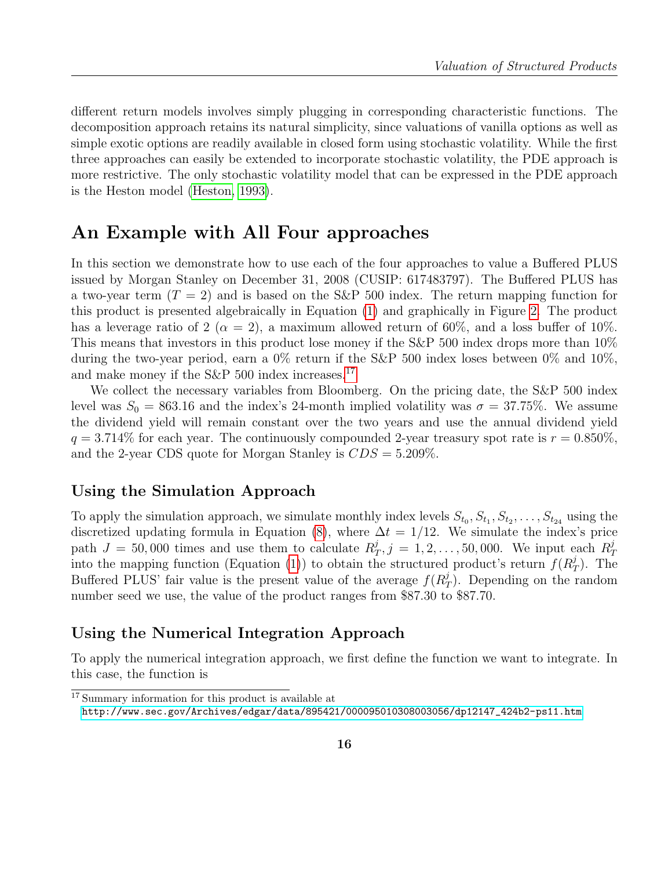different return models involves simply plugging in corresponding characteristic functions. The decomposition approach retains its natural simplicity, since valuations of vanilla options as well as simple exotic options are readily available in closed form using stochastic volatility. While the first three approaches can easily be extended to incorporate stochastic volatility, the PDE approach is more restrictive. The only stochastic volatility model that can be expressed in the PDE approach is the Heston model [\(Heston, 1993\)](#page-22-13).

## An Example with All Four approaches

In this section we demonstrate how to use each of the four approaches to value a Buffered PLUS issued by Morgan Stanley on December 31, 2008 (CUSIP: 617483797). The Buffered PLUS has a two-year term  $(T = 2)$  and is based on the S&P 500 index. The return mapping function for this product is presented algebraically in Equation [\(1\)](#page-6-2) and graphically in Figure [2.](#page-6-0) The product has a leverage ratio of 2 ( $\alpha = 2$ ), a maximum allowed return of 60%, and a loss buffer of 10%. This means that investors in this product lose money if the  $S\&P$  500 index drops more than 10% during the two-year period, earn a 0% return if the S&P 500 index loses between 0% and 10%, and make money if the S&P 500 index increases. $^{17}$  $^{17}$  $^{17}$ 

We collect the necessary variables from Bloomberg. On the pricing date, the S&P 500 index level was  $S_0 = 863.16$  and the index's 24-month implied volatility was  $\sigma = 37.75\%$ . We assume the dividend yield will remain constant over the two years and use the annual dividend yield  $q = 3.714\%$  for each year. The continuously compounded 2-year treasury spot rate is  $r = 0.850\%$ , and the 2-year CDS quote for Morgan Stanley is  $CDS = 5.209\%$ .

## Using the Simulation Approach

To apply the simulation approach, we simulate monthly index levels  $S_{t_0}, S_{t_1}, S_{t_2}, \ldots, S_{t_{24}}$  using the discretized updating formula in Equation [\(8\)](#page-8-1), where  $\Delta t = 1/12$ . We simulate the index's price path  $J = 50,000$  times and use them to calculate  $R_7^j$  $T_{T}^{j}$ ,  $j = 1, 2, ..., 50, 000$ . We input each  $R_{T}^{j}$ T into the mapping function (Equation [\(1\)](#page-6-2)) to obtain the structured product's return  $f(R_7^j)$  $_T^j$ ). The Buffered PLUS' fair value is the present value of the average  $f(R_7^j)$  $T(T)$ . Depending on the random number seed we use, the value of the product ranges from \$87.30 to \$87.70.

## Using the Numerical Integration Approach

To apply the numerical integration approach, we first define the function we want to integrate. In this case, the function is

<sup>17</sup> Summary information for this product is available at [http://www.sec.gov/Archives/edgar/data/895421/000095010308003056/dp12147\\_424b2-ps11.htm](http://www.sec.gov/Archives/edgar/data/895421/000095010308003056/dp12147_424b2-ps11.htm)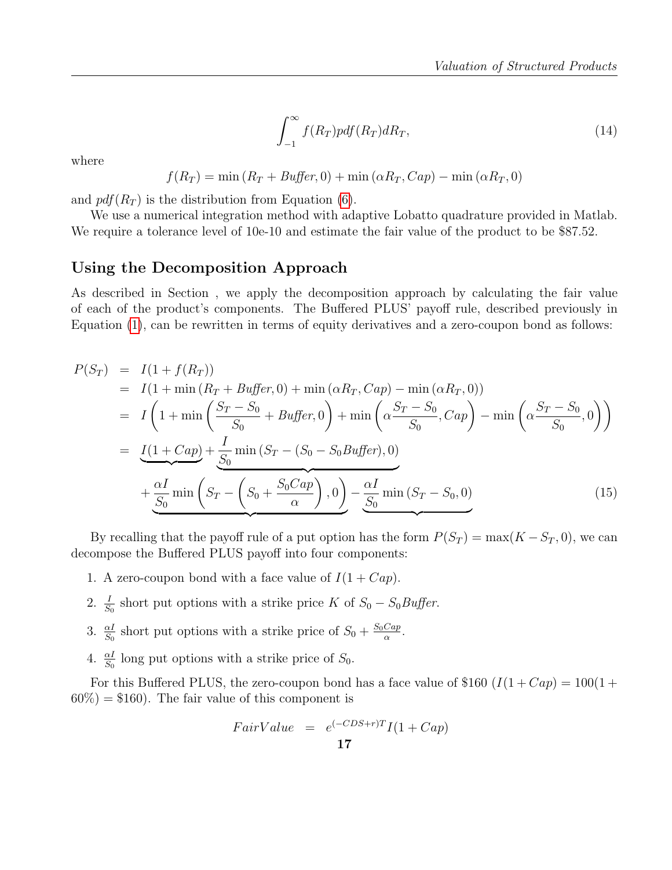$$
\int_{-1}^{\infty} f(R_T) p df(R_T) dR_T, \tag{14}
$$

where

 $f(R_T) = \min (R_T + \text{Buffer}, 0) + \min (\alpha R_T, \text{Cap}) - \min (\alpha R_T, 0)$ 

and  $pdf(R_T)$  is the distribution from Equation [\(6\)](#page-7-1).

We use a numerical integration method with adaptive Lobatto quadrature provided in Matlab. We require a tolerance level of 10e-10 and estimate the fair value of the product to be \$87.52.

### Using the Decomposition Approach

As described in Section , we apply the decomposition approach by calculating the fair value of each of the product's components. The Buffered PLUS' payoff rule, described previously in Equation [\(1\)](#page-6-2), can be rewritten in terms of equity derivatives and a zero-coupon bond as follows:

$$
P(S_T) = I(1 + f(R_T))
$$
  
=  $I(1 + \min(R_T + Buffer, 0) + \min(\alpha R_T, Cap) - \min(\alpha R_T, 0))$   
=  $I\left(1 + \min\left(\frac{S_T - S_0}{S_0} + Buffer, 0\right) + \min\left(\alpha \frac{S_T - S_0}{S_0}, Cap\right) - \min\left(\alpha \frac{S_T - S_0}{S_0}, 0\right)\right)$   
=  $\underbrace{I(1 + Cap)}_{S_0} + \underbrace{\frac{I}{S_0} \min(S_T - (S_0 - S_0Buffer), 0)}_{\alpha}$   
+  $\underbrace{\frac{\alpha I}{S_0} \min\left(S_T - \left(S_0 + \frac{S_0Cap}{\alpha}\right), 0\right)}_{\alpha} - \underbrace{\frac{\alpha I}{S_0} \min(S_T - S_0, 0)}_{\alpha}$  (15)

By recalling that the payoff rule of a put option has the form  $P(S_T) = \max(K - S_T, 0)$ , we can decompose the Buffered PLUS payoff into four components:

1. A zero-coupon bond with a face value of  $I(1 + Cap)$ .

- 2.  $\frac{I}{S_0}$  short put options with a strike price K of  $S_0 S_0$ Buffer.
- 3.  $\frac{\alpha I}{S_0}$  short put options with a strike price of  $S_0 + \frac{S_0 Cap}{\alpha}$  $\frac{Cap}{\alpha}$ .
- 4.  $\frac{\alpha I}{S_0}$  long put options with a strike price of  $S_0$ .

For this Buffered PLUS, the zero-coupon bond has a face value of \$160  $(I(1 + Cap) = 100(1 +$  $60\%) = $160$ . The fair value of this component is

$$
FairValue = e^{(-CDS+r)T}I(1+Cap)
$$
  
17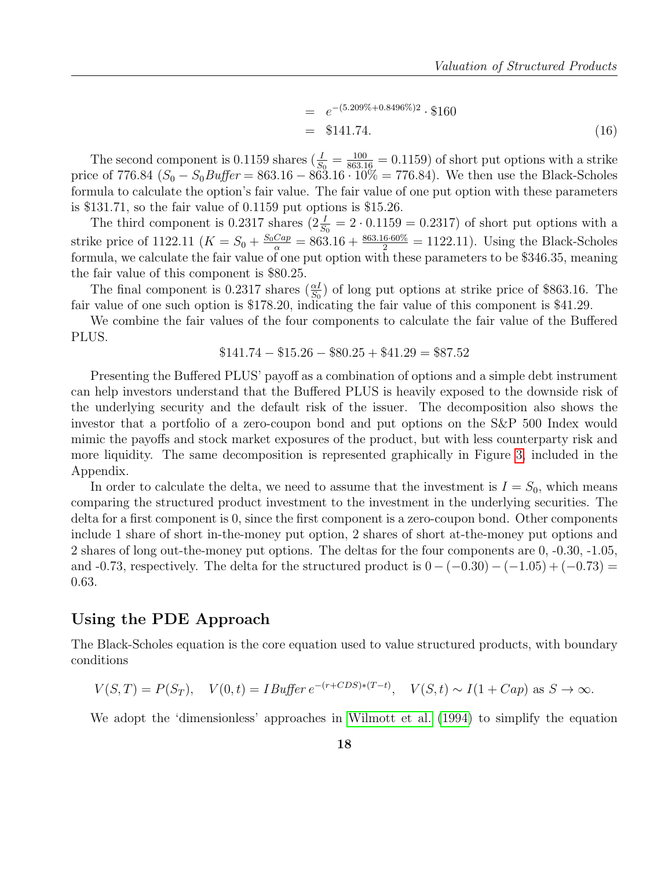$$
= e^{-(5.209\% + 0.8496\%)2} \cdot $160
$$
  
= \$141.74. (16)

The second component is 0.1159 shares  $(\frac{I}{S_0} = \frac{100}{863.16} = 0.1159)$  of short put options with a strike price of 776.84  $(S_0 - S_0\text{Buffer} = 863.16 - 863.16 \cdot 10\% = 776.84)$ . We then use the Black-Scholes formula to calculate the option's fair value. The fair value of one put option with these parameters is \$131.71, so the fair value of 0.1159 put options is \$15.26.

The third component is 0.2317 shares  $(2\frac{I}{S_0} = 2 \cdot 0.1159 = 0.2317)$  of short put options with a strike price of 1122.11  $(K = S_0 + \frac{S_0 Cap}{\alpha} = 863.16 + \frac{863.16 \cdot 60\%}{2} = 1122.11)$ . Using the Black-Scholes formula, we calculate the fair value of one put option with these parameters to be \$346.35, meaning the fair value of this component is \$80.25.

The final component is 0.2317 shares  $(\frac{\alpha I}{S_0})$  of long put options at strike price of \$863.16. The fair value of one such option is \$178.20, indicating the fair value of this component is \$41.29.

We combine the fair values of the four components to calculate the fair value of the Buffered PLUS.

$$
$141.74 - $15.26 - $80.25 + $41.29 = $87.52
$$

Presenting the Buffered PLUS' payoff as a combination of options and a simple debt instrument can help investors understand that the Buffered PLUS is heavily exposed to the downside risk of the underlying security and the default risk of the issuer. The decomposition also shows the investor that a portfolio of a zero-coupon bond and put options on the S&P 500 Index would mimic the payoffs and stock market exposures of the product, but with less counterparty risk and more liquidity. The same decomposition is represented graphically in Figure [3,](#page-25-0) included in the Appendix.

In order to calculate the delta, we need to assume that the investment is  $I = S_0$ , which means comparing the structured product investment to the investment in the underlying securities. The delta for a first component is 0, since the first component is a zero-coupon bond. Other components include 1 share of short in-the-money put option, 2 shares of short at-the-money put options and 2 shares of long out-the-money put options. The deltas for the four components are 0, -0.30, -1.05, and -0.73, respectively. The delta for the structured product is  $0 - (-0.30) - (-1.05) + (-0.73) =$ 0.63.

### Using the PDE Approach

The Black-Scholes equation is the core equation used to value structured products, with boundary conditions

$$
V(S,T) = P(S_T), \quad V(0,t) = IB\cdot \text{tf} = e^{-(r+CDS)*(T-t)}, \quad V(S,t) \sim I(1+Cap) \text{ as } S \to \infty.
$$

We adopt the 'dimensionless' approaches in [Wilmott et al.](#page-23-0) [\(1994\)](#page-23-0) to simplify the equation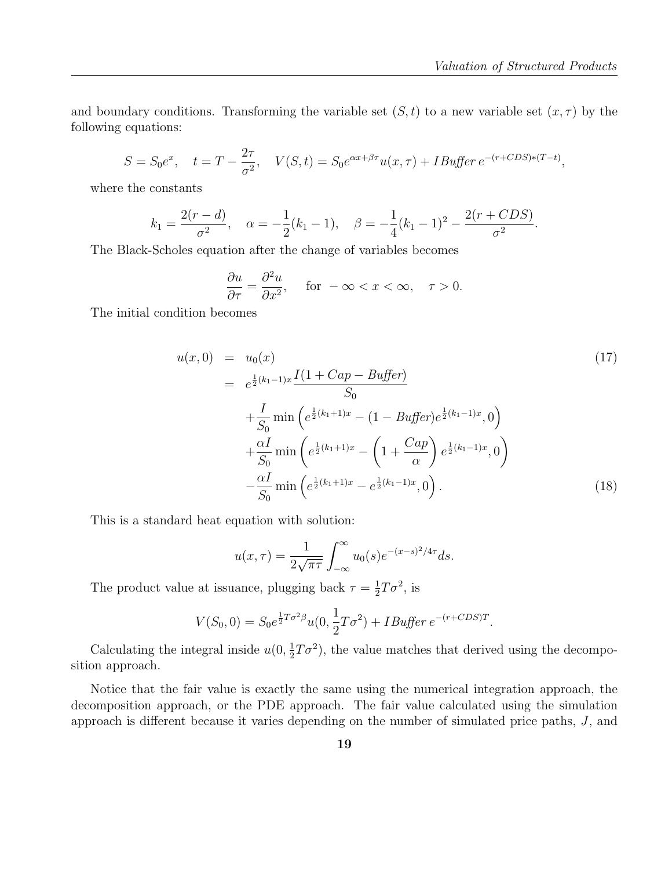and boundary conditions. Transforming the variable set  $(S, t)$  to a new variable set  $(x, \tau)$  by the following equations:

$$
S = S_0 e^x, \quad t = T - \frac{2\tau}{\sigma^2}, \quad V(S, t) = S_0 e^{\alpha x + \beta \tau} u(x, \tau) + I \, \text{Buffer } e^{-(r + CDS)*(T-t)},
$$

where the constants

$$
k_1 = \frac{2(r-d)}{\sigma^2}
$$
,  $\alpha = -\frac{1}{2}(k_1 - 1)$ ,  $\beta = -\frac{1}{4}(k_1 - 1)^2 - \frac{2(r + CDS)}{\sigma^2}$ .

The Black-Scholes equation after the change of variables becomes

$$
\frac{\partial u}{\partial \tau} = \frac{\partial^2 u}{\partial x^2}, \quad \text{for } -\infty < x < \infty, \quad \tau > 0.
$$

The initial condition becomes

$$
u(x,0) = u_0(x)
$$
  
\n
$$
= e^{\frac{1}{2}(k_1 - 1)x} \frac{I(1 + Cap - Buffer)}{S_0}
$$
  
\n
$$
+ \frac{I}{S_0} \min\left(e^{\frac{1}{2}(k_1 + 1)x} - (1 - Buffer)e^{\frac{1}{2}(k_1 - 1)x}, 0\right)
$$
  
\n
$$
+ \frac{\alpha I}{S_0} \min\left(e^{\frac{1}{2}(k_1 + 1)x} - \left(1 + \frac{Cap}{\alpha}\right)e^{\frac{1}{2}(k_1 - 1)x}, 0\right)
$$
  
\n
$$
- \frac{\alpha I}{S_0} \min\left(e^{\frac{1}{2}(k_1 + 1)x} - e^{\frac{1}{2}(k_1 - 1)x}, 0\right).
$$
\n(18)

This is a standard heat equation with solution:

$$
u(x,\tau) = \frac{1}{2\sqrt{\pi\tau}} \int_{-\infty}^{\infty} u_0(s) e^{-(x-s)^2/4\tau} ds.
$$

The product value at issuance, plugging back  $\tau = \frac{1}{2}$  $\frac{1}{2}T\sigma^2$ , is

$$
V(S_0, 0) = S_0 e^{\frac{1}{2}T\sigma^2 \beta} u(0, \frac{1}{2}T\sigma^2) + I \, \text{Buffer } e^{-(r + CDS)T}.
$$

Calculating the integral inside  $u(0, \frac{1}{2})$  $\frac{1}{2}T\sigma^2$ , the value matches that derived using the decomposition approach.

Notice that the fair value is exactly the same using the numerical integration approach, the decomposition approach, or the PDE approach. The fair value calculated using the simulation approach is different because it varies depending on the number of simulated price paths, J, and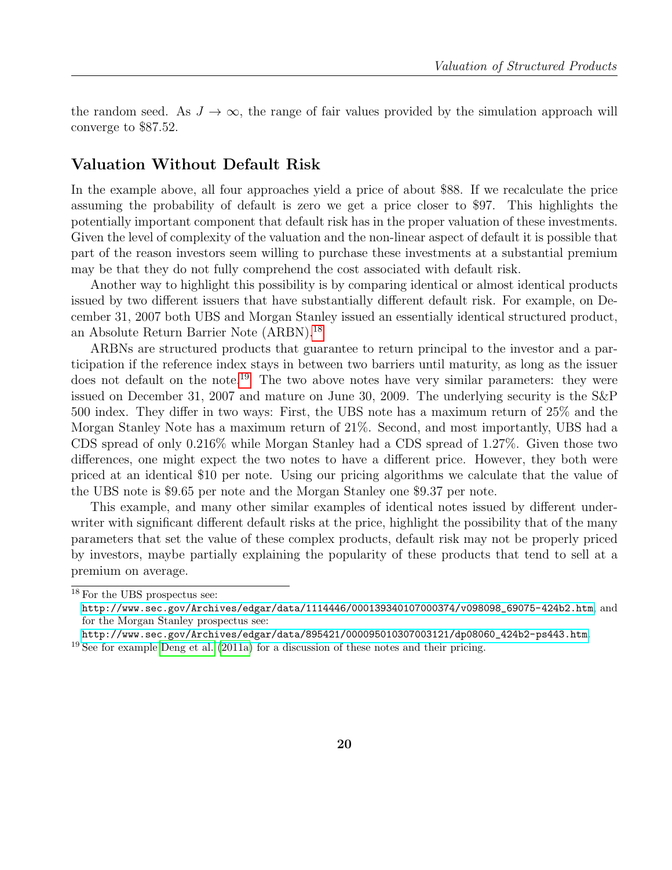the random seed. As  $J \to \infty$ , the range of fair values provided by the simulation approach will converge to \$87.52.

## Valuation Without Default Risk

In the example above, all four approaches yield a price of about \$88. If we recalculate the price assuming the probability of default is zero we get a price closer to \$97. This highlights the potentially important component that default risk has in the proper valuation of these investments. Given the level of complexity of the valuation and the non-linear aspect of default it is possible that part of the reason investors seem willing to purchase these investments at a substantial premium may be that they do not fully comprehend the cost associated with default risk.

Another way to highlight this possibility is by comparing identical or almost identical products issued by two different issuers that have substantially different default risk. For example, on December 31, 2007 both UBS and Morgan Stanley issued an essentially identical structured product, an Absolute Return Barrier Note (ARBN).[18](#page-0-0)

ARBNs are structured products that guarantee to return principal to the investor and a participation if the reference index stays in between two barriers until maturity, as long as the issuer does not default on the note.<sup>[19](#page-0-0)</sup> The two above notes have very similar parameters: they were issued on December 31, 2007 and mature on June 30, 2009. The underlying security is the S&P 500 index. They differ in two ways: First, the UBS note has a maximum return of 25% and the Morgan Stanley Note has a maximum return of 21%. Second, and most importantly, UBS had a CDS spread of only 0.216% while Morgan Stanley had a CDS spread of 1.27%. Given those two differences, one might expect the two notes to have a different price. However, they both were priced at an identical \$10 per note. Using our pricing algorithms we calculate that the value of the UBS note is \$9.65 per note and the Morgan Stanley one \$9.37 per note.

This example, and many other similar examples of identical notes issued by different underwriter with significant different default risks at the price, highlight the possibility that of the many parameters that set the value of these complex products, default risk may not be properly priced by investors, maybe partially explaining the popularity of these products that tend to sell at a premium on average.

 $^{18}$  For the UBS prospectus see:

[http://www.sec.gov/Archives/edgar/data/1114446/000139340107000374/v098098\\_69075-424b2.htm](http://www.sec.gov/Archives/edgar/data/1114446/000139340107000374/v098098_69075-424b2.htm), and for the Morgan Stanley prospectus see:

[http://www.sec.gov/Archives/edgar/data/895421/000095010307003121/dp08060\\_424b2-ps443.htm](http://www.sec.gov/Archives/edgar/data/895421/000095010307003121/dp08060_424b2-ps443.htm).

 $19$  See for example [Deng et al.](#page-21-6) [\(2011a\)](#page-21-6) for a discussion of these notes and their pricing.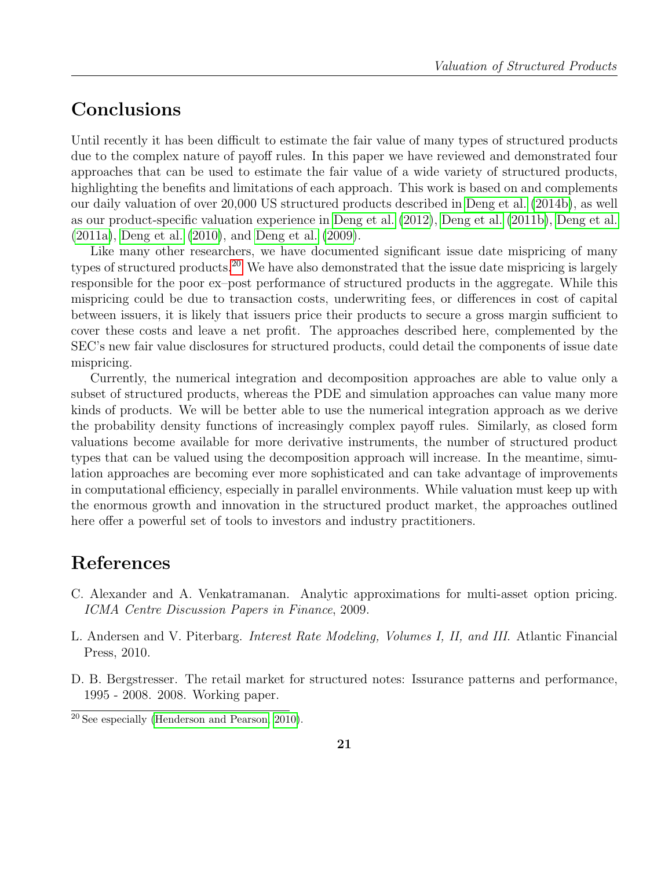## Conclusions

Until recently it has been difficult to estimate the fair value of many types of structured products due to the complex nature of payoff rules. In this paper we have reviewed and demonstrated four approaches that can be used to estimate the fair value of a wide variety of structured products, highlighting the benefits and limitations of each approach. This work is based on and complements our daily valuation of over 20,000 US structured products described in [Deng et al.](#page-22-2) [\(2014b\)](#page-22-2), as well as our product-specific valuation experience in [Deng et al.](#page-21-4) [\(2012\)](#page-21-4), [Deng et al.](#page-21-5) [\(2011b\)](#page-21-5), [Deng et al.](#page-21-6) [\(2011a\)](#page-21-6), [Deng et al.](#page-21-7) [\(2010\)](#page-21-7), and [Deng et al.](#page-21-8) [\(2009\)](#page-21-8).

Like many other researchers, we have documented significant issue date mispricing of many types of structured products.<sup>[20](#page-0-0)</sup> We have also demonstrated that the issue date mispricing is largely responsible for the poor ex–post performance of structured products in the aggregate. While this mispricing could be due to transaction costs, underwriting fees, or differences in cost of capital between issuers, it is likely that issuers price their products to secure a gross margin sufficient to cover these costs and leave a net profit. The approaches described here, complemented by the SEC's new fair value disclosures for structured products, could detail the components of issue date mispricing.

Currently, the numerical integration and decomposition approaches are able to value only a subset of structured products, whereas the PDE and simulation approaches can value many more kinds of products. We will be better able to use the numerical integration approach as we derive the probability density functions of increasingly complex payoff rules. Similarly, as closed form valuations become available for more derivative instruments, the number of structured product types that can be valued using the decomposition approach will increase. In the meantime, simulation approaches are becoming ever more sophisticated and can take advantage of improvements in computational efficiency, especially in parallel environments. While valuation must keep up with the enormous growth and innovation in the structured product market, the approaches outlined here offer a powerful set of tools to investors and industry practitioners.

## References

- <span id="page-20-1"></span>C. Alexander and A. Venkatramanan. Analytic approximations for multi-asset option pricing. ICMA Centre Discussion Papers in Finance, 2009.
- <span id="page-20-2"></span>L. Andersen and V. Piterbarg. Interest Rate Modeling, Volumes I, II, and III. Atlantic Financial Press, 2010.
- <span id="page-20-0"></span>D. B. Bergstresser. The retail market for structured notes: Issurance patterns and performance, 1995 - 2008. 2008. Working paper.

<sup>20</sup> See especially [\(Henderson and Pearson, 2010\)](#page-22-1).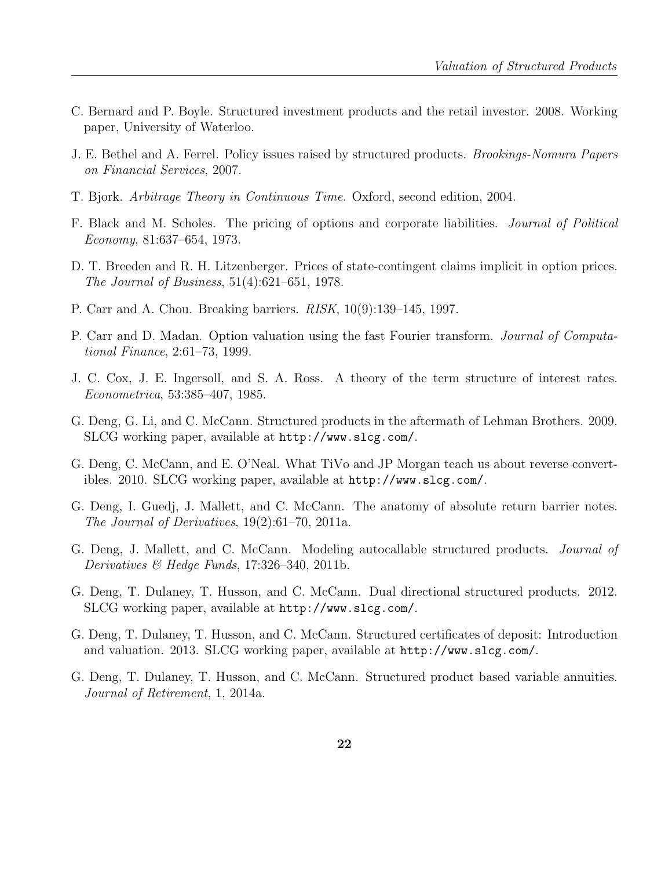- <span id="page-21-0"></span>C. Bernard and P. Boyle. Structured investment products and the retail investor. 2008. Working paper, University of Waterloo.
- <span id="page-21-1"></span>J. E. Bethel and A. Ferrel. Policy issues raised by structured products. Brookings-Nomura Papers on Financial Services, 2007.
- <span id="page-21-9"></span>T. Bjork. Arbitrage Theory in Continuous Time. Oxford, second edition, 2004.
- <span id="page-21-14"></span>F. Black and M. Scholes. The pricing of options and corporate liabilities. Journal of Political Economy, 81:637–654, 1973.
- <span id="page-21-12"></span>D. T. Breeden and R. H. Litzenberger. Prices of state-contingent claims implicit in option prices. The Journal of Business, 51(4):621–651, 1978.
- <span id="page-21-13"></span>P. Carr and A. Chou. Breaking barriers. RISK, 10(9):139–145, 1997.
- <span id="page-21-11"></span>P. Carr and D. Madan. Option valuation using the fast Fourier transform. Journal of Computational Finance, 2:61–73, 1999.
- <span id="page-21-10"></span>J. C. Cox, J. E. Ingersoll, and S. A. Ross. A theory of the term structure of interest rates. Econometrica, 53:385–407, 1985.
- <span id="page-21-8"></span>G. Deng, G. Li, and C. McCann. Structured products in the aftermath of Lehman Brothers. 2009. SLCG working paper, available at http://www.slcg.com/.
- <span id="page-21-7"></span>G. Deng, C. McCann, and E. O'Neal. What TiVo and JP Morgan teach us about reverse convertibles. 2010. SLCG working paper, available at http://www.slcg.com/.
- <span id="page-21-6"></span>G. Deng, I. Guedj, J. Mallett, and C. McCann. The anatomy of absolute return barrier notes. The Journal of Derivatives, 19(2):61–70, 2011a.
- <span id="page-21-5"></span>G. Deng, J. Mallett, and C. McCann. Modeling autocallable structured products. Journal of Derivatives  $\mathscr$  Hedge Funds, 17:326-340, 2011b.
- <span id="page-21-4"></span>G. Deng, T. Dulaney, T. Husson, and C. McCann. Dual directional structured products. 2012. SLCG working paper, available at http://www.slcg.com/.
- <span id="page-21-2"></span>G. Deng, T. Dulaney, T. Husson, and C. McCann. Structured certificates of deposit: Introduction and valuation. 2013. SLCG working paper, available at http://www.slcg.com/.
- <span id="page-21-3"></span>G. Deng, T. Dulaney, T. Husson, and C. McCann. Structured product based variable annuities. Journal of Retirement, 1, 2014a.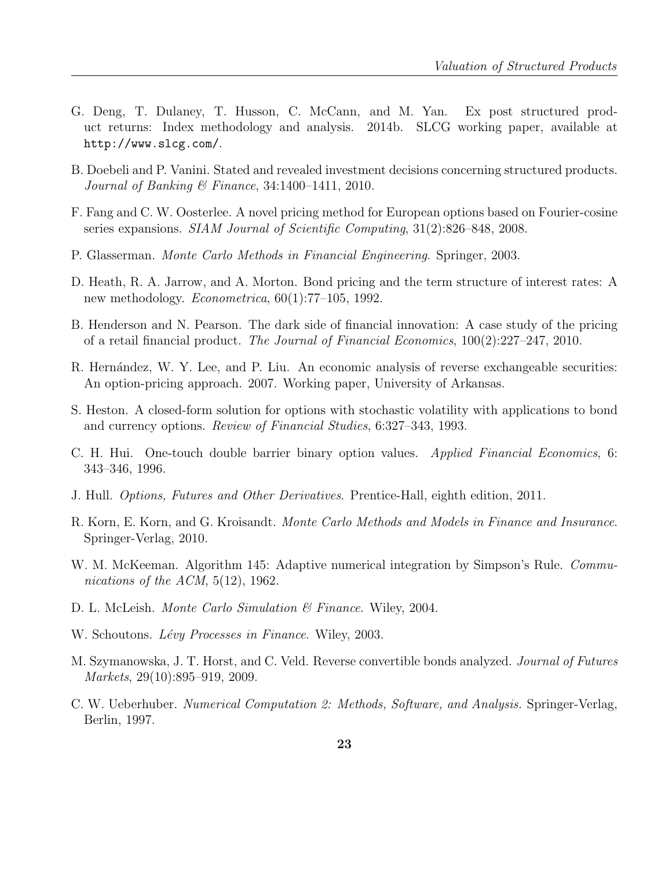- <span id="page-22-2"></span>G. Deng, T. Dulaney, T. Husson, C. McCann, and M. Yan. Ex post structured product returns: Index methodology and analysis. 2014b. SLCG working paper, available at http://www.slcg.com/.
- <span id="page-22-0"></span>B. Doebeli and P. Vanini. Stated and revealed investment decisions concerning structured products. Journal of Banking & Finance, 34:1400–1411, 2010.
- <span id="page-22-9"></span>F. Fang and C. W. Oosterlee. A novel pricing method for European options based on Fourier-cosine series expansions. SIAM Journal of Scientific Computing, 31(2):826–848, 2008.
- <span id="page-22-3"></span>P. Glasserman. Monte Carlo Methods in Financial Engineering. Springer, 2003.
- <span id="page-22-6"></span>D. Heath, R. A. Jarrow, and A. Morton. Bond pricing and the term structure of interest rates: A new methodology. Econometrica, 60(1):77–105, 1992.
- <span id="page-22-1"></span>B. Henderson and N. Pearson. The dark side of financial innovation: A case study of the pricing of a retail financial product. The Journal of Financial Economics, 100(2):227–247, 2010.
- <span id="page-22-10"></span>R. Hernández, W. Y. Lee, and P. Liu. An economic analysis of reverse exchangeable securities: An option-pricing approach. 2007. Working paper, University of Arkansas.
- <span id="page-22-13"></span>S. Heston. A closed-form solution for options with stochastic volatility with applications to bond and currency options. Review of Financial Studies, 6:327–343, 1993.
- <span id="page-22-12"></span>C. H. Hui. One-touch double barrier binary option values. Applied Financial Economics, 6: 343–346, 1996.
- <span id="page-22-4"></span>J. Hull. Options, Futures and Other Derivatives. Prentice-Hall, eighth edition, 2011.
- <span id="page-22-15"></span>R. Korn, E. Korn, and G. Kroisandt. Monte Carlo Methods and Models in Finance and Insurance. Springer-Verlag, 2010.
- <span id="page-22-7"></span>W. M. McKeeman. Algorithm 145: Adaptive numerical integration by Simpson's Rule. *Commu*nications of the ACM,  $5(12)$ , 1962.
- <span id="page-22-5"></span>D. L. McLeish. Monte Carlo Simulation & Finance. Wiley, 2004.
- <span id="page-22-14"></span>W. Schoutons. *Lévy Processes in Finance*. Wiley, 2003.
- <span id="page-22-11"></span>M. Szymanowska, J. T. Horst, and C. Veld. Reverse convertible bonds analyzed. Journal of Futures Markets, 29(10):895–919, 2009.
- <span id="page-22-8"></span>C. W. Ueberhuber. Numerical Computation 2: Methods, Software, and Analysis. Springer-Verlag, Berlin, 1997.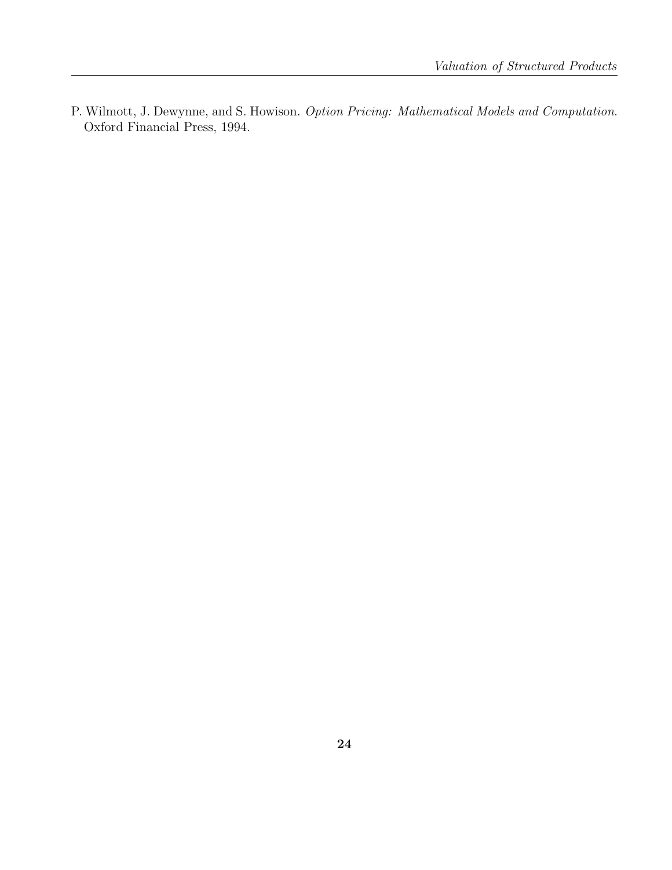<span id="page-23-0"></span>P. Wilmott, J. Dewynne, and S. Howison. Option Pricing: Mathematical Models and Computation. Oxford Financial Press, 1994.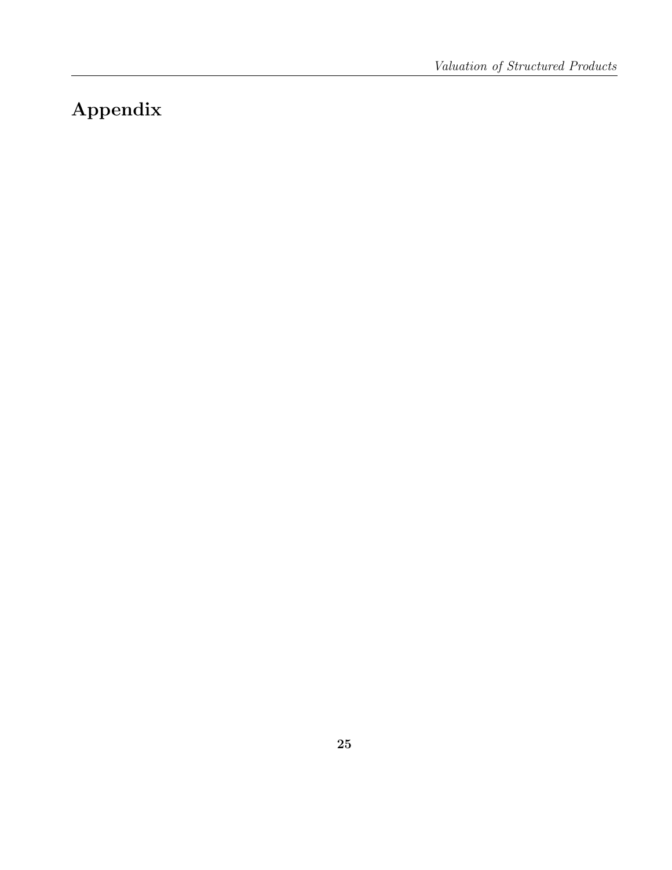# Appendix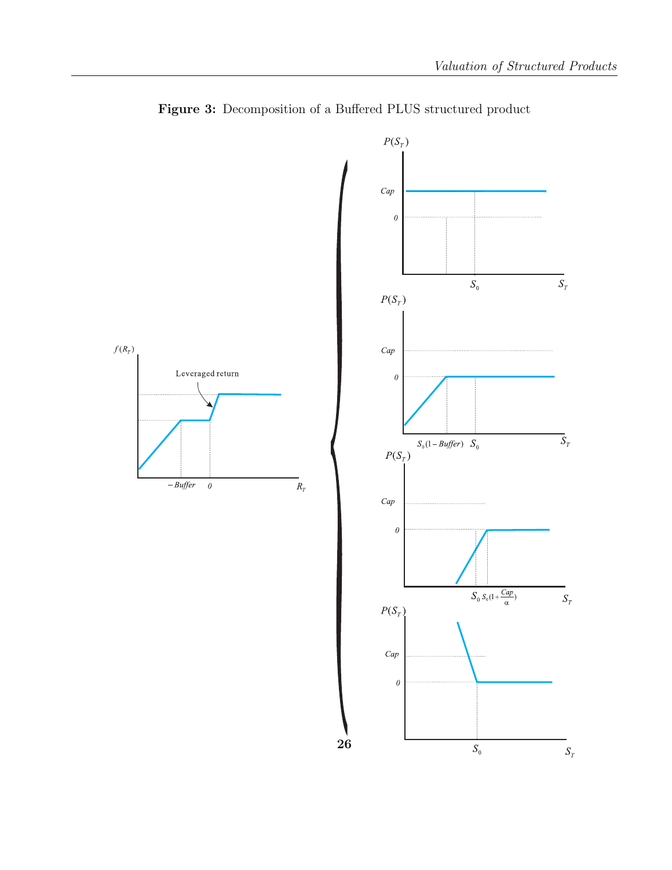<span id="page-25-0"></span>

Figure 3: Decomposition of a Buffered PLUS structured product